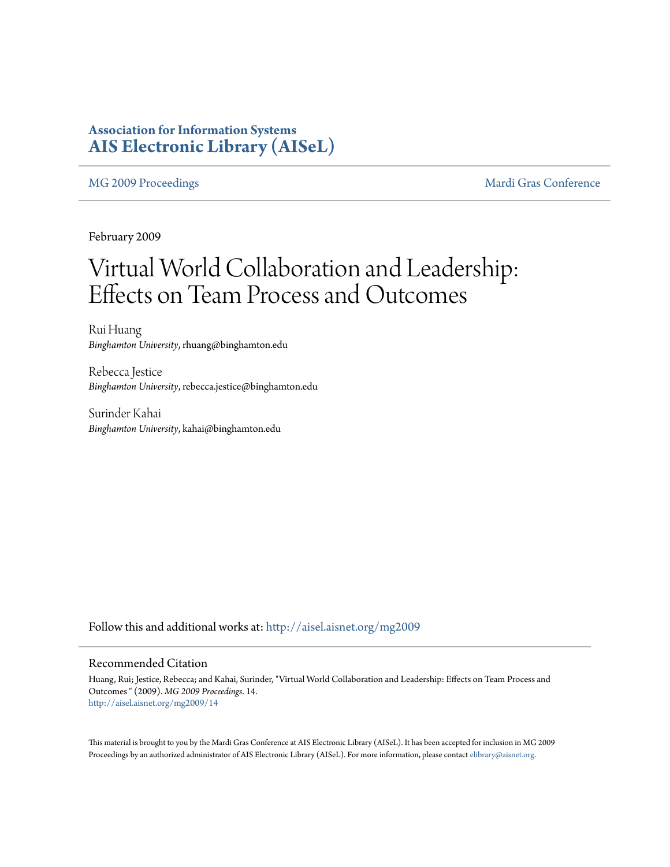### **Association for Information Systems [AIS Electronic Library \(AISeL\)](http://aisel.aisnet.org?utm_source=aisel.aisnet.org%2Fmg2009%2F14&utm_medium=PDF&utm_campaign=PDFCoverPages)**

[MG 2009 Proceedings](http://aisel.aisnet.org/mg2009?utm_source=aisel.aisnet.org%2Fmg2009%2F14&utm_medium=PDF&utm_campaign=PDFCoverPages) and the [Mardi Gras Conference](http://aisel.aisnet.org/mg?utm_source=aisel.aisnet.org%2Fmg2009%2F14&utm_medium=PDF&utm_campaign=PDFCoverPages)

February 2009

# Virtual World Collaboration and Leadership: Effects on Team Process and Outcomes

Rui Huang *Binghamton University*, rhuang@binghamton.edu

Rebecca Jestice *Binghamton University*, rebecca.jestice@binghamton.edu

Surinder Kahai *Binghamton University*, kahai@binghamton.edu

Follow this and additional works at: [http://aisel.aisnet.org/mg2009](http://aisel.aisnet.org/mg2009?utm_source=aisel.aisnet.org%2Fmg2009%2F14&utm_medium=PDF&utm_campaign=PDFCoverPages)

#### Recommended Citation

Huang, Rui; Jestice, Rebecca; and Kahai, Surinder, "Virtual World Collaboration and Leadership: Effects on Team Process and Outcomes " (2009). *MG 2009 Proceedings*. 14. [http://aisel.aisnet.org/mg2009/14](http://aisel.aisnet.org/mg2009/14?utm_source=aisel.aisnet.org%2Fmg2009%2F14&utm_medium=PDF&utm_campaign=PDFCoverPages)

This material is brought to you by the Mardi Gras Conference at AIS Electronic Library (AISeL). It has been accepted for inclusion in MG 2009 Proceedings by an authorized administrator of AIS Electronic Library (AISeL). For more information, please contact [elibrary@aisnet.org](mailto:elibrary@aisnet.org%3E).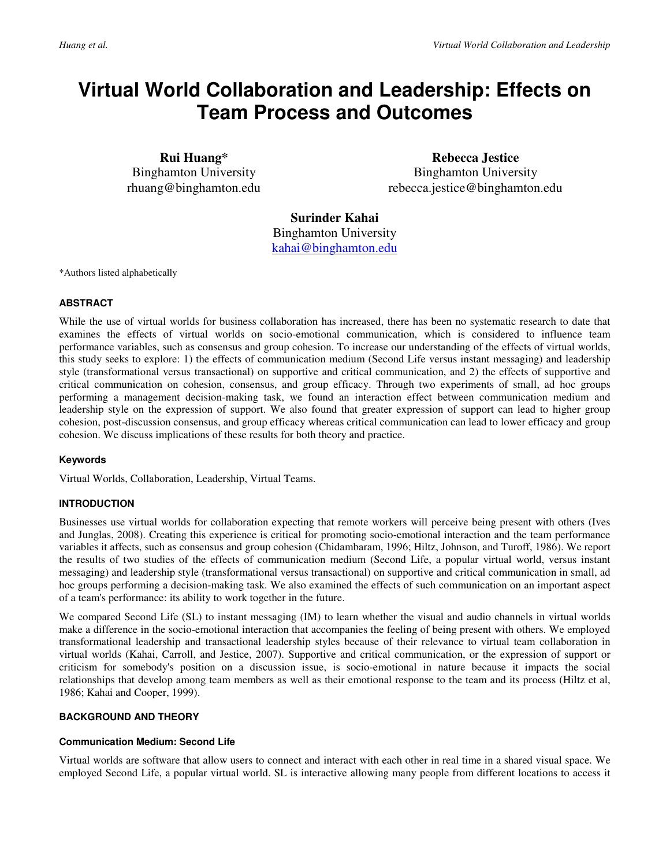## **Virtual World Collaboration and Leadership: Effects on Team Process and Outcomes**

**Rui Huang\***  Binghamton University rhuang@binghamton.edu

**Rebecca Jestice**  Binghamton University rebecca.jestice@binghamton.edu

**Surinder Kahai**  Binghamton University kahai@binghamton.edu

\*Authors listed alphabetically

#### **ABSTRACT**

While the use of virtual worlds for business collaboration has increased, there has been no systematic research to date that examines the effects of virtual worlds on socio-emotional communication, which is considered to influence team performance variables, such as consensus and group cohesion. To increase our understanding of the effects of virtual worlds, this study seeks to explore: 1) the effects of communication medium (Second Life versus instant messaging) and leadership style (transformational versus transactional) on supportive and critical communication, and 2) the effects of supportive and critical communication on cohesion, consensus, and group efficacy. Through two experiments of small, ad hoc groups performing a management decision-making task, we found an interaction effect between communication medium and leadership style on the expression of support. We also found that greater expression of support can lead to higher group cohesion, post-discussion consensus, and group efficacy whereas critical communication can lead to lower efficacy and group cohesion. We discuss implications of these results for both theory and practice.

#### **Keywords**

Virtual Worlds, Collaboration, Leadership, Virtual Teams.

#### **INTRODUCTION**

Businesses use virtual worlds for collaboration expecting that remote workers will perceive being present with others (Ives and Junglas, 2008). Creating this experience is critical for promoting socio-emotional interaction and the team performance variables it affects, such as consensus and group cohesion (Chidambaram, 1996; Hiltz, Johnson, and Turoff, 1986). We report the results of two studies of the effects of communication medium (Second Life, a popular virtual world, versus instant messaging) and leadership style (transformational versus transactional) on supportive and critical communication in small, ad hoc groups performing a decision-making task. We also examined the effects of such communication on an important aspect of a team's performance: its ability to work together in the future.

We compared Second Life (SL) to instant messaging (IM) to learn whether the visual and audio channels in virtual worlds make a difference in the socio-emotional interaction that accompanies the feeling of being present with others. We employed transformational leadership and transactional leadership styles because of their relevance to virtual team collaboration in virtual worlds (Kahai, Carroll, and Jestice, 2007). Supportive and critical communication, or the expression of support or criticism for somebody's position on a discussion issue, is socio-emotional in nature because it impacts the social relationships that develop among team members as well as their emotional response to the team and its process (Hiltz et al, 1986; Kahai and Cooper, 1999).

#### **BACKGROUND AND THEORY**

#### **Communication Medium: Second Life**

Virtual worlds are software that allow users to connect and interact with each other in real time in a shared visual space. We employed Second Life, a popular virtual world. SL is interactive allowing many people from different locations to access it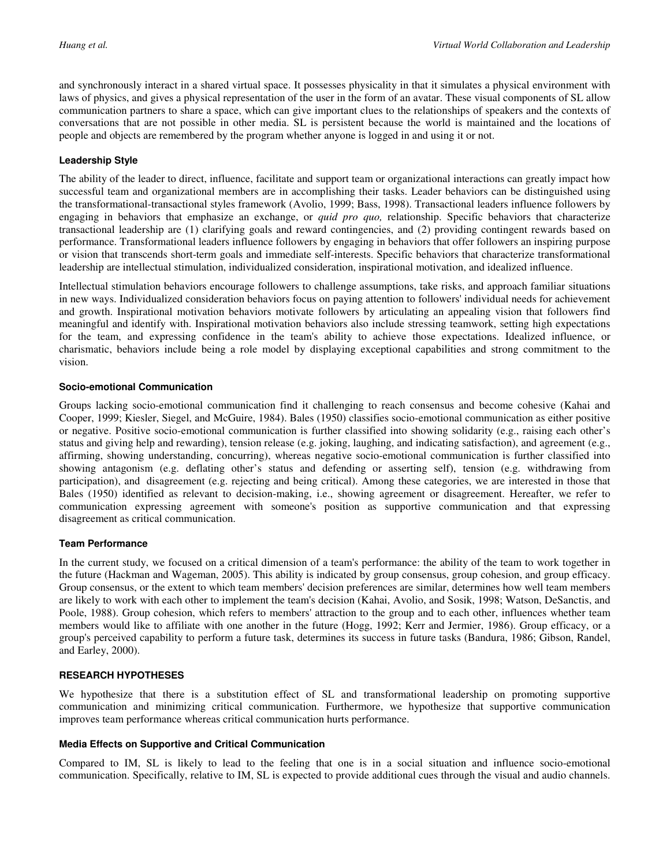and synchronously interact in a shared virtual space. It possesses physicality in that it simulates a physical environment with laws of physics, and gives a physical representation of the user in the form of an avatar. These visual components of SL allow communication partners to share a space, which can give important clues to the relationships of speakers and the contexts of conversations that are not possible in other media. SL is persistent because the world is maintained and the locations of people and objects are remembered by the program whether anyone is logged in and using it or not.

#### **Leadership Style**

The ability of the leader to direct, influence, facilitate and support team or organizational interactions can greatly impact how successful team and organizational members are in accomplishing their tasks. Leader behaviors can be distinguished using the transformational-transactional styles framework (Avolio, 1999; Bass, 1998). Transactional leaders influence followers by engaging in behaviors that emphasize an exchange, or *quid pro quo,* relationship. Specific behaviors that characterize transactional leadership are (1) clarifying goals and reward contingencies, and (2) providing contingent rewards based on performance. Transformational leaders influence followers by engaging in behaviors that offer followers an inspiring purpose or vision that transcends short-term goals and immediate self-interests. Specific behaviors that characterize transformational leadership are intellectual stimulation, individualized consideration, inspirational motivation, and idealized influence.

Intellectual stimulation behaviors encourage followers to challenge assumptions, take risks, and approach familiar situations in new ways. Individualized consideration behaviors focus on paying attention to followers' individual needs for achievement and growth. Inspirational motivation behaviors motivate followers by articulating an appealing vision that followers find meaningful and identify with. Inspirational motivation behaviors also include stressing teamwork, setting high expectations for the team, and expressing confidence in the team's ability to achieve those expectations. Idealized influence, or charismatic, behaviors include being a role model by displaying exceptional capabilities and strong commitment to the vision.

#### **Socio-emotional Communication**

Groups lacking socio-emotional communication find it challenging to reach consensus and become cohesive (Kahai and Cooper, 1999; Kiesler, Siegel, and McGuire, 1984). Bales (1950) classifies socio-emotional communication as either positive or negative. Positive socio-emotional communication is further classified into showing solidarity (e.g., raising each other's status and giving help and rewarding), tension release (e.g. joking, laughing, and indicating satisfaction), and agreement (e.g., affirming, showing understanding, concurring), whereas negative socio-emotional communication is further classified into showing antagonism (e.g. deflating other's status and defending or asserting self), tension (e.g. withdrawing from participation), and disagreement (e.g. rejecting and being critical). Among these categories, we are interested in those that Bales (1950) identified as relevant to decision-making, i.e., showing agreement or disagreement. Hereafter, we refer to communication expressing agreement with someone's position as supportive communication and that expressing disagreement as critical communication.

### **Team Performance**

In the current study, we focused on a critical dimension of a team's performance: the ability of the team to work together in the future (Hackman and Wageman, 2005). This ability is indicated by group consensus, group cohesion, and group efficacy. Group consensus, or the extent to which team members' decision preferences are similar, determines how well team members are likely to work with each other to implement the team's decision (Kahai, Avolio, and Sosik, 1998; Watson, DeSanctis, and Poole, 1988). Group cohesion, which refers to members' attraction to the group and to each other, influences whether team members would like to affiliate with one another in the future (Hogg, 1992; Kerr and Jermier, 1986). Group efficacy, or a group's perceived capability to perform a future task, determines its success in future tasks (Bandura, 1986; Gibson, Randel, and Earley, 2000).

### **RESEARCH HYPOTHESES**

We hypothesize that there is a substitution effect of SL and transformational leadership on promoting supportive communication and minimizing critical communication. Furthermore, we hypothesize that supportive communication improves team performance whereas critical communication hurts performance.

#### **Media Effects on Supportive and Critical Communication**

Compared to IM, SL is likely to lead to the feeling that one is in a social situation and influence socio-emotional communication. Specifically, relative to IM, SL is expected to provide additional cues through the visual and audio channels.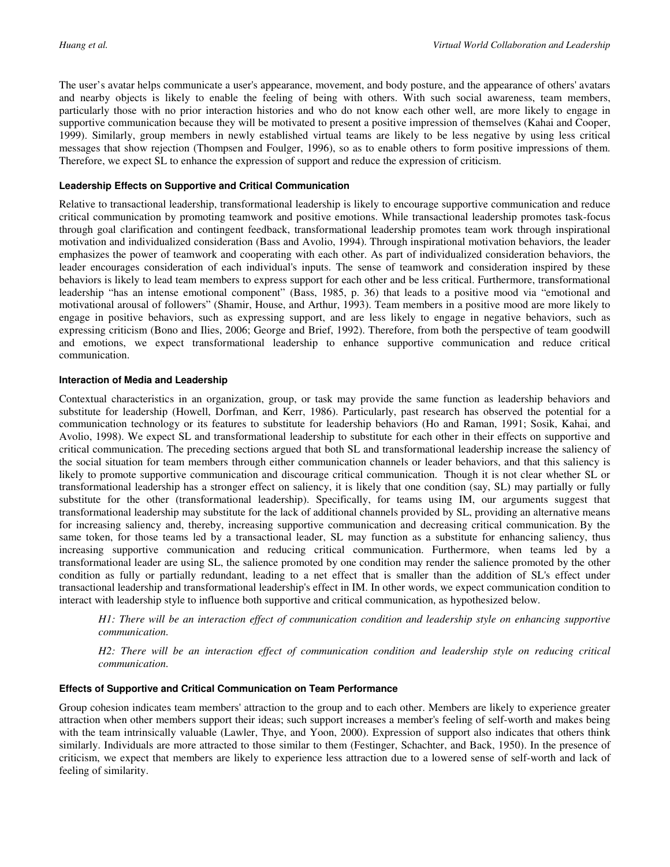The user's avatar helps communicate a user's appearance, movement, and body posture, and the appearance of others' avatars and nearby objects is likely to enable the feeling of being with others. With such social awareness, team members, particularly those with no prior interaction histories and who do not know each other well, are more likely to engage in supportive communication because they will be motivated to present a positive impression of themselves (Kahai and Cooper, 1999). Similarly, group members in newly established virtual teams are likely to be less negative by using less critical messages that show rejection (Thompsen and Foulger, 1996), so as to enable others to form positive impressions of them. Therefore, we expect SL to enhance the expression of support and reduce the expression of criticism.

#### **Leadership Effects on Supportive and Critical Communication**

Relative to transactional leadership, transformational leadership is likely to encourage supportive communication and reduce critical communication by promoting teamwork and positive emotions. While transactional leadership promotes task-focus through goal clarification and contingent feedback, transformational leadership promotes team work through inspirational motivation and individualized consideration (Bass and Avolio, 1994). Through inspirational motivation behaviors, the leader emphasizes the power of teamwork and cooperating with each other. As part of individualized consideration behaviors, the leader encourages consideration of each individual's inputs. The sense of teamwork and consideration inspired by these behaviors is likely to lead team members to express support for each other and be less critical. Furthermore, transformational leadership "has an intense emotional component" (Bass, 1985, p. 36) that leads to a positive mood via "emotional and motivational arousal of followers" (Shamir, House, and Arthur, 1993). Team members in a positive mood are more likely to engage in positive behaviors, such as expressing support, and are less likely to engage in negative behaviors, such as expressing criticism (Bono and Ilies, 2006; George and Brief, 1992). Therefore, from both the perspective of team goodwill and emotions, we expect transformational leadership to enhance supportive communication and reduce critical communication.

#### **Interaction of Media and Leadership**

Contextual characteristics in an organization, group, or task may provide the same function as leadership behaviors and substitute for leadership (Howell, Dorfman, and Kerr, 1986). Particularly, past research has observed the potential for a communication technology or its features to substitute for leadership behaviors (Ho and Raman, 1991; Sosik, Kahai, and Avolio, 1998). We expect SL and transformational leadership to substitute for each other in their effects on supportive and critical communication. The preceding sections argued that both SL and transformational leadership increase the saliency of the social situation for team members through either communication channels or leader behaviors, and that this saliency is likely to promote supportive communication and discourage critical communication. Though it is not clear whether SL or transformational leadership has a stronger effect on saliency, it is likely that one condition (say, SL) may partially or fully substitute for the other (transformational leadership). Specifically, for teams using IM, our arguments suggest that transformational leadership may substitute for the lack of additional channels provided by SL, providing an alternative means for increasing saliency and, thereby, increasing supportive communication and decreasing critical communication. By the same token, for those teams led by a transactional leader, SL may function as a substitute for enhancing saliency, thus increasing supportive communication and reducing critical communication. Furthermore, when teams led by a transformational leader are using SL, the salience promoted by one condition may render the salience promoted by the other condition as fully or partially redundant, leading to a net effect that is smaller than the addition of SL's effect under transactional leadership and transformational leadership's effect in IM. In other words, we expect communication condition to interact with leadership style to influence both supportive and critical communication, as hypothesized below.

*H1: There will be an interaction effect of communication condition and leadership style on enhancing supportive communication.*

*H2: There will be an interaction effect of communication condition and leadership style on reducing critical communication.*

#### **Effects of Supportive and Critical Communication on Team Performance**

Group cohesion indicates team members' attraction to the group and to each other. Members are likely to experience greater attraction when other members support their ideas; such support increases a member's feeling of self-worth and makes being with the team intrinsically valuable (Lawler, Thye, and Yoon, 2000). Expression of support also indicates that others think similarly. Individuals are more attracted to those similar to them (Festinger, Schachter, and Back, 1950). In the presence of criticism, we expect that members are likely to experience less attraction due to a lowered sense of self-worth and lack of feeling of similarity.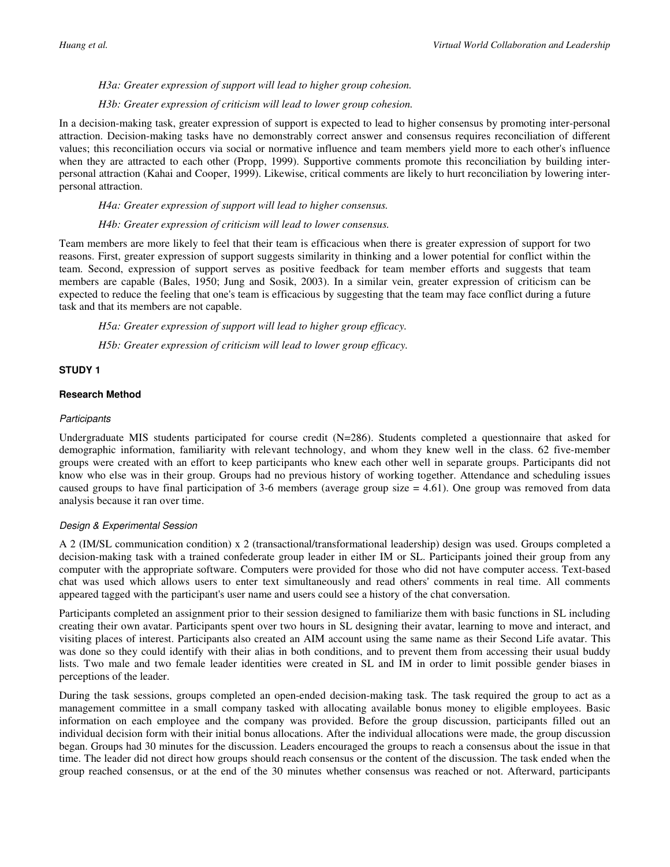#### *H3a: Greater expression of support will lead to higher group cohesion.*

#### *H3b: Greater expression of criticism will lead to lower group cohesion.*

In a decision-making task, greater expression of support is expected to lead to higher consensus by promoting inter-personal attraction. Decision-making tasks have no demonstrably correct answer and consensus requires reconciliation of different values; this reconciliation occurs via social or normative influence and team members yield more to each other's influence when they are attracted to each other (Propp, 1999). Supportive comments promote this reconciliation by building interpersonal attraction (Kahai and Cooper, 1999). Likewise, critical comments are likely to hurt reconciliation by lowering interpersonal attraction.

#### *H4a: Greater expression of support will lead to higher consensus.*

#### *H4b: Greater expression of criticism will lead to lower consensus.*

Team members are more likely to feel that their team is efficacious when there is greater expression of support for two reasons. First, greater expression of support suggests similarity in thinking and a lower potential for conflict within the team. Second, expression of support serves as positive feedback for team member efforts and suggests that team members are capable (Bales, 1950; Jung and Sosik, 2003). In a similar vein, greater expression of criticism can be expected to reduce the feeling that one's team is efficacious by suggesting that the team may face conflict during a future task and that its members are not capable.

*H5a: Greater expression of support will lead to higher group efficacy.* 

*H5b: Greater expression of criticism will lead to lower group efficacy.* 

#### **STUDY 1**

#### **Research Method**

#### **Participants**

Undergraduate MIS students participated for course credit (N=286). Students completed a questionnaire that asked for demographic information, familiarity with relevant technology, and whom they knew well in the class. 62 five-member groups were created with an effort to keep participants who knew each other well in separate groups. Participants did not know who else was in their group. Groups had no previous history of working together. Attendance and scheduling issues caused groups to have final participation of 3-6 members (average group size  $= 4.61$ ). One group was removed from data analysis because it ran over time.

#### Design & Experimental Session

A 2 (IM/SL communication condition) x 2 (transactional/transformational leadership) design was used. Groups completed a decision-making task with a trained confederate group leader in either IM or SL. Participants joined their group from any computer with the appropriate software. Computers were provided for those who did not have computer access. Text-based chat was used which allows users to enter text simultaneously and read others' comments in real time. All comments appeared tagged with the participant's user name and users could see a history of the chat conversation.

Participants completed an assignment prior to their session designed to familiarize them with basic functions in SL including creating their own avatar. Participants spent over two hours in SL designing their avatar, learning to move and interact, and visiting places of interest. Participants also created an AIM account using the same name as their Second Life avatar. This was done so they could identify with their alias in both conditions, and to prevent them from accessing their usual buddy lists. Two male and two female leader identities were created in SL and IM in order to limit possible gender biases in perceptions of the leader.

During the task sessions, groups completed an open-ended decision-making task. The task required the group to act as a management committee in a small company tasked with allocating available bonus money to eligible employees. Basic information on each employee and the company was provided. Before the group discussion, participants filled out an individual decision form with their initial bonus allocations. After the individual allocations were made, the group discussion began. Groups had 30 minutes for the discussion. Leaders encouraged the groups to reach a consensus about the issue in that time. The leader did not direct how groups should reach consensus or the content of the discussion. The task ended when the group reached consensus, or at the end of the 30 minutes whether consensus was reached or not. Afterward, participants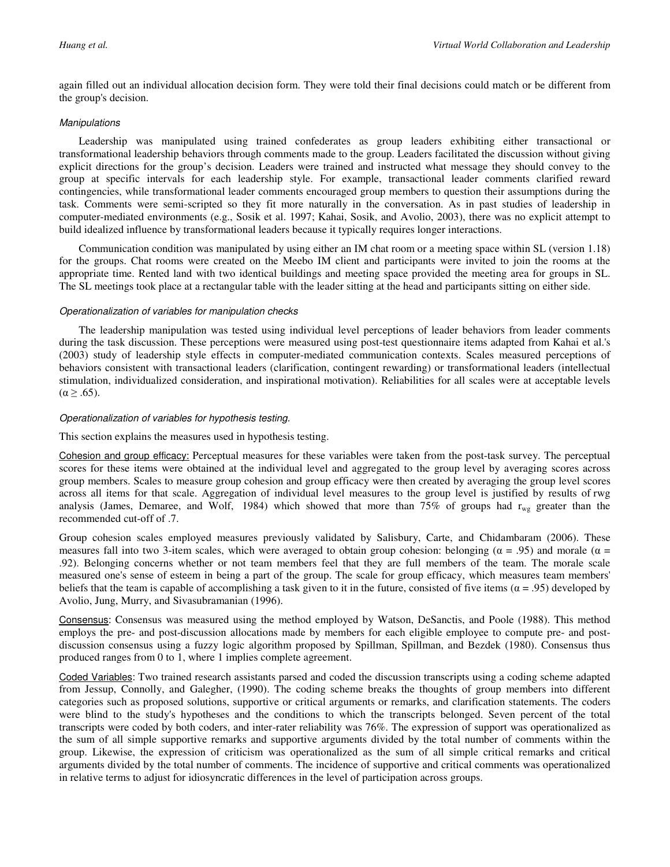again filled out an individual allocation decision form. They were told their final decisions could match or be different from the group's decision.

#### **Manipulations**

Leadership was manipulated using trained confederates as group leaders exhibiting either transactional or transformational leadership behaviors through comments made to the group. Leaders facilitated the discussion without giving explicit directions for the group's decision. Leaders were trained and instructed what message they should convey to the group at specific intervals for each leadership style. For example, transactional leader comments clarified reward contingencies, while transformational leader comments encouraged group members to question their assumptions during the task. Comments were semi-scripted so they fit more naturally in the conversation. As in past studies of leadership in computer-mediated environments (e.g., Sosik et al. 1997; Kahai, Sosik, and Avolio, 2003), there was no explicit attempt to build idealized influence by transformational leaders because it typically requires longer interactions.

Communication condition was manipulated by using either an IM chat room or a meeting space within SL (version 1.18) for the groups. Chat rooms were created on the Meebo IM client and participants were invited to join the rooms at the appropriate time. Rented land with two identical buildings and meeting space provided the meeting area for groups in SL. The SL meetings took place at a rectangular table with the leader sitting at the head and participants sitting on either side.

#### Operationalization of variables for manipulation checks

The leadership manipulation was tested using individual level perceptions of leader behaviors from leader comments during the task discussion. These perceptions were measured using post-test questionnaire items adapted from Kahai et al.'s (2003) study of leadership style effects in computer-mediated communication contexts. Scales measured perceptions of behaviors consistent with transactional leaders (clarification, contingent rewarding) or transformational leaders (intellectual stimulation, individualized consideration, and inspirational motivation). Reliabilities for all scales were at acceptable levels  $(\alpha \geq .65)$ .

#### Operationalization of variables for hypothesis testing.

This section explains the measures used in hypothesis testing.

Cohesion and group efficacy: Perceptual measures for these variables were taken from the post-task survey. The perceptual scores for these items were obtained at the individual level and aggregated to the group level by averaging scores across group members. Scales to measure group cohesion and group efficacy were then created by averaging the group level scores across all items for that scale. Aggregation of individual level measures to the group level is justified by results of rwg analysis (James, Demaree, and Wolf, 1984) which showed that more than 75% of groups had  $r_{wg}$  greater than the recommended cut-off of .7.

Group cohesion scales employed measures previously validated by Salisbury, Carte, and Chidambaram (2006). These measures fall into two 3-item scales, which were averaged to obtain group cohesion: belonging ( $\alpha = .95$ ) and morale ( $\alpha =$ .92). Belonging concerns whether or not team members feel that they are full members of the team. The morale scale measured one's sense of esteem in being a part of the group. The scale for group efficacy, which measures team members' beliefs that the team is capable of accomplishing a task given to it in the future, consisted of five items ( $\alpha$  = .95) developed by Avolio, Jung, Murry, and Sivasubramanian (1996).

Consensus: Consensus was measured using the method employed by Watson, DeSanctis, and Poole (1988). This method employs the pre- and post-discussion allocations made by members for each eligible employee to compute pre- and postdiscussion consensus using a fuzzy logic algorithm proposed by Spillman, Spillman, and Bezdek (1980). Consensus thus produced ranges from 0 to 1, where 1 implies complete agreement.

Coded Variables: Two trained research assistants parsed and coded the discussion transcripts using a coding scheme adapted from Jessup, Connolly, and Galegher, (1990). The coding scheme breaks the thoughts of group members into different categories such as proposed solutions, supportive or critical arguments or remarks, and clarification statements. The coders were blind to the study's hypotheses and the conditions to which the transcripts belonged. Seven percent of the total transcripts were coded by both coders, and inter-rater reliability was 76%. The expression of support was operationalized as the sum of all simple supportive remarks and supportive arguments divided by the total number of comments within the group. Likewise, the expression of criticism was operationalized as the sum of all simple critical remarks and critical arguments divided by the total number of comments. The incidence of supportive and critical comments was operationalized in relative terms to adjust for idiosyncratic differences in the level of participation across groups.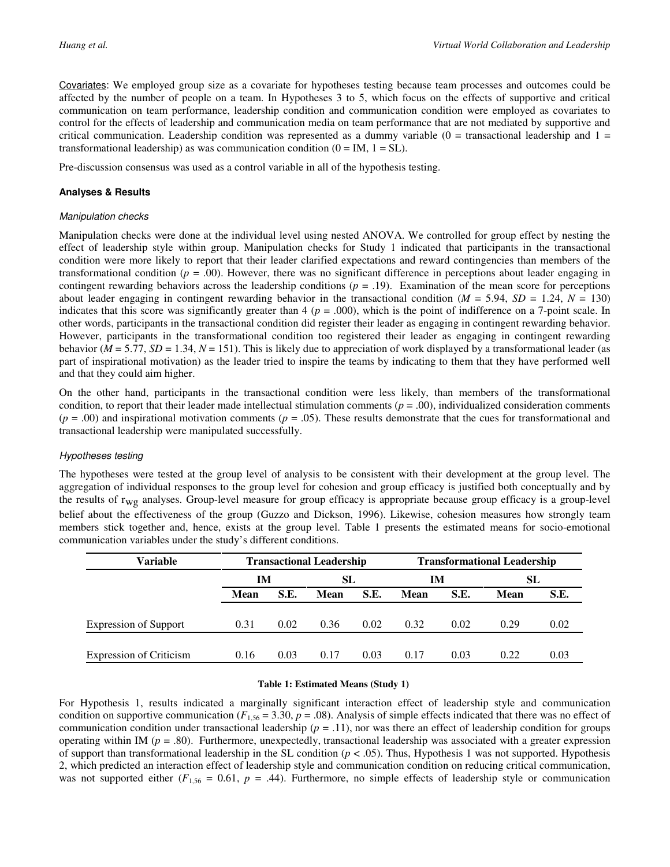Covariates: We employed group size as a covariate for hypotheses testing because team processes and outcomes could be affected by the number of people on a team. In Hypotheses 3 to 5, which focus on the effects of supportive and critical communication on team performance, leadership condition and communication condition were employed as covariates to control for the effects of leadership and communication media on team performance that are not mediated by supportive and critical communication. Leadership condition was represented as a dummy variable ( $0 =$  transactional leadership and  $1 =$ transformational leadership) as was communication condition  $(0 = IM, 1 = SL)$ .

Pre-discussion consensus was used as a control variable in all of the hypothesis testing.

#### **Analyses & Results**

#### Manipulation checks

Manipulation checks were done at the individual level using nested ANOVA. We controlled for group effect by nesting the effect of leadership style within group. Manipulation checks for Study 1 indicated that participants in the transactional condition were more likely to report that their leader clarified expectations and reward contingencies than members of the transformational condition ( $p = 0.00$ ). However, there was no significant difference in perceptions about leader engaging in contingent rewarding behaviors across the leadership conditions ( $p = .19$ ). Examination of the mean score for perceptions about leader engaging in contingent rewarding behavior in the transactional condition ( $M = 5.94$ ,  $SD = 1.24$ ,  $N = 130$ ) indicates that this score was significantly greater than  $4$  ( $p = .000$ ), which is the point of indifference on a 7-point scale. In other words, participants in the transactional condition did register their leader as engaging in contingent rewarding behavior. However, participants in the transformational condition too registered their leader as engaging in contingent rewarding behavior (*M* = 5.77, *SD* = 1.34, *N* = 151). This is likely due to appreciation of work displayed by a transformational leader (as part of inspirational motivation) as the leader tried to inspire the teams by indicating to them that they have performed well and that they could aim higher.

On the other hand, participants in the transactional condition were less likely, than members of the transformational condition, to report that their leader made intellectual stimulation comments ( $p = .00$ ), individualized consideration comments  $(p = .00)$  and inspirational motivation comments  $(p = .05)$ . These results demonstrate that the cues for transformational and transactional leadership were manipulated successfully.

#### Hypotheses testing

The hypotheses were tested at the group level of analysis to be consistent with their development at the group level. The aggregation of individual responses to the group level for cohesion and group efficacy is justified both conceptually and by the results of  $r_{wg}$  analyses. Group-level measure for group efficacy is appropriate because group efficacy is a group-level belief about the effectiveness of the group (Guzzo and Dickson, 1996). Likewise, cohesion measures how strongly team members stick together and, hence, exists at the group level. Table 1 presents the estimated means for socio-emotional communication variables under the study's different conditions.

| Variable                       | <b>Transactional Leadership</b> |      |      |      | <b>Transformational Leadership</b> |      |      |      |  |
|--------------------------------|---------------------------------|------|------|------|------------------------------------|------|------|------|--|
|                                | <b>IM</b>                       |      | SL   |      | IM                                 |      | SL   |      |  |
|                                | Mean                            | S.E. | Mean | S.E. | Mean                               | S.E. | Mean | S.E. |  |
|                                |                                 |      |      |      |                                    |      |      |      |  |
| <b>Expression of Support</b>   | 0.31                            | 0.02 | 0.36 | 0.02 | 0.32                               | 0.02 | 0.29 | 0.02 |  |
|                                |                                 |      |      |      |                                    |      |      |      |  |
| <b>Expression of Criticism</b> | 0.16                            | 0.03 | 0.17 | 0.03 | 0.17                               | 0.03 | 0.22 | 0.03 |  |

#### **Table 1: Estimated Means (Study 1)**

For Hypothesis 1, results indicated a marginally significant interaction effect of leadership style and communication condition on supportive communication ( $F_{1,56} = 3.30$ ,  $p = .08$ ). Analysis of simple effects indicated that there was no effect of communication condition under transactional leadership (*p* = .11), nor was there an effect of leadership condition for groups operating within IM (*p* = .80). Furthermore, unexpectedly, transactional leadership was associated with a greater expression of support than transformational leadership in the SL condition  $(p < .05)$ . Thus, Hypothesis 1 was not supported. Hypothesis 2, which predicted an interaction effect of leadership style and communication condition on reducing critical communication, was not supported either  $(F_{1,56} = 0.61, p = .44)$ . Furthermore, no simple effects of leadership style or communication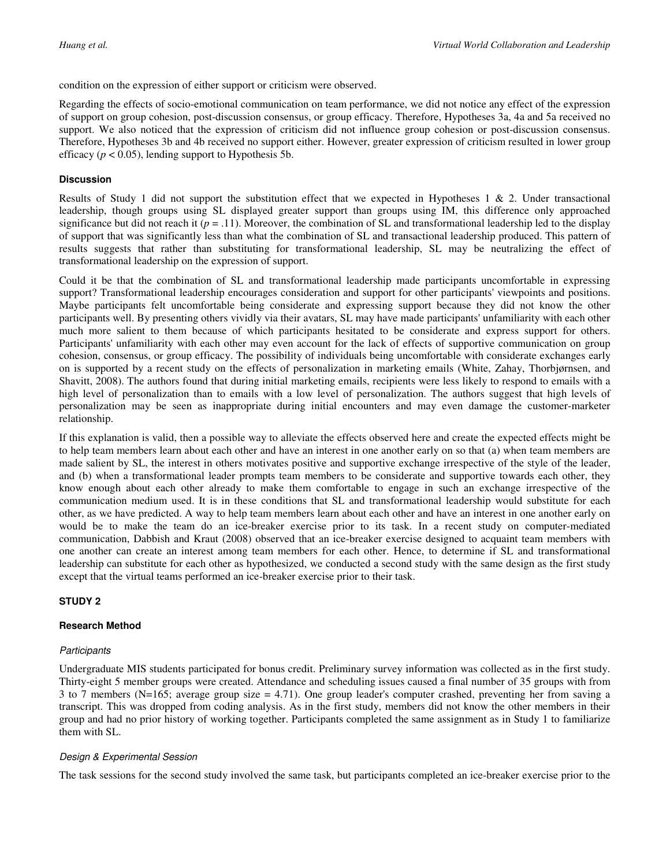condition on the expression of either support or criticism were observed.

Regarding the effects of socio-emotional communication on team performance, we did not notice any effect of the expression of support on group cohesion, post-discussion consensus, or group efficacy. Therefore, Hypotheses 3a, 4a and 5a received no support. We also noticed that the expression of criticism did not influence group cohesion or post-discussion consensus. Therefore, Hypotheses 3b and 4b received no support either. However, greater expression of criticism resulted in lower group efficacy ( $p < 0.05$ ), lending support to Hypothesis 5b.

#### **Discussion**

Results of Study 1 did not support the substitution effect that we expected in Hypotheses 1 & 2. Under transactional leadership, though groups using SL displayed greater support than groups using IM, this difference only approached significance but did not reach it  $(p = .11)$ . Moreover, the combination of SL and transformational leadership led to the display of support that was significantly less than what the combination of SL and transactional leadership produced. This pattern of results suggests that rather than substituting for transformational leadership, SL may be neutralizing the effect of transformational leadership on the expression of support.

Could it be that the combination of SL and transformational leadership made participants uncomfortable in expressing support? Transformational leadership encourages consideration and support for other participants' viewpoints and positions. Maybe participants felt uncomfortable being considerate and expressing support because they did not know the other participants well. By presenting others vividly via their avatars, SL may have made participants' unfamiliarity with each other much more salient to them because of which participants hesitated to be considerate and express support for others. Participants' unfamiliarity with each other may even account for the lack of effects of supportive communication on group cohesion, consensus, or group efficacy. The possibility of individuals being uncomfortable with considerate exchanges early on is supported by a recent study on the effects of personalization in marketing emails (White, Zahay, Thorbjørnsen, and Shavitt, 2008). The authors found that during initial marketing emails, recipients were less likely to respond to emails with a high level of personalization than to emails with a low level of personalization. The authors suggest that high levels of personalization may be seen as inappropriate during initial encounters and may even damage the customer-marketer relationship.

If this explanation is valid, then a possible way to alleviate the effects observed here and create the expected effects might be to help team members learn about each other and have an interest in one another early on so that (a) when team members are made salient by SL, the interest in others motivates positive and supportive exchange irrespective of the style of the leader, and (b) when a transformational leader prompts team members to be considerate and supportive towards each other, they know enough about each other already to make them comfortable to engage in such an exchange irrespective of the communication medium used. It is in these conditions that SL and transformational leadership would substitute for each other, as we have predicted. A way to help team members learn about each other and have an interest in one another early on would be to make the team do an ice-breaker exercise prior to its task. In a recent study on computer-mediated communication, Dabbish and Kraut (2008) observed that an ice-breaker exercise designed to acquaint team members with one another can create an interest among team members for each other. Hence, to determine if SL and transformational leadership can substitute for each other as hypothesized, we conducted a second study with the same design as the first study except that the virtual teams performed an ice-breaker exercise prior to their task.

### **STUDY 2**

#### **Research Method**

#### **Participants**

Undergraduate MIS students participated for bonus credit. Preliminary survey information was collected as in the first study. Thirty-eight 5 member groups were created. Attendance and scheduling issues caused a final number of 35 groups with from 3 to 7 members (N=165; average group size = 4.71). One group leader's computer crashed, preventing her from saving a transcript. This was dropped from coding analysis. As in the first study, members did not know the other members in their group and had no prior history of working together. Participants completed the same assignment as in Study 1 to familiarize them with SL.

#### Design & Experimental Session

The task sessions for the second study involved the same task, but participants completed an ice-breaker exercise prior to the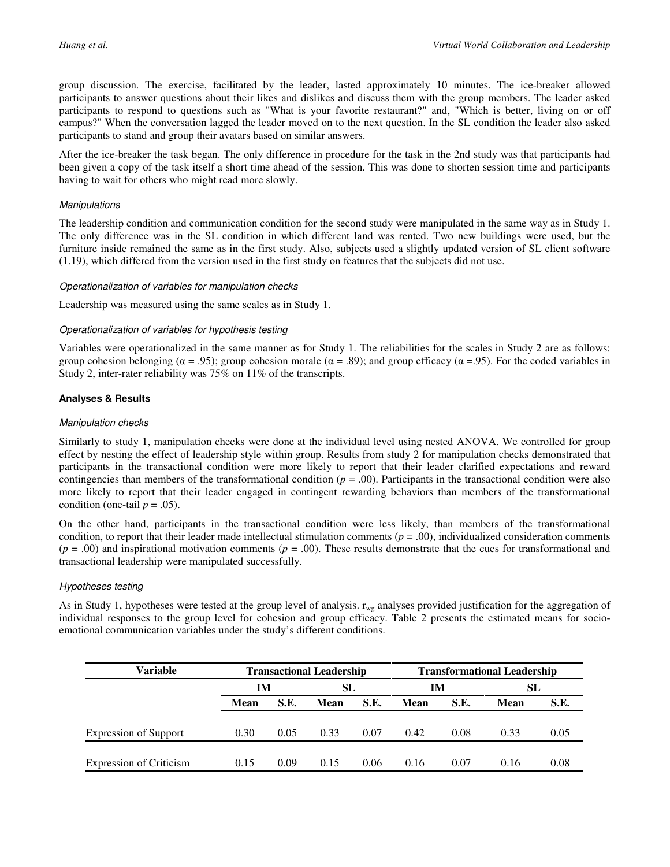group discussion. The exercise, facilitated by the leader, lasted approximately 10 minutes. The ice-breaker allowed participants to answer questions about their likes and dislikes and discuss them with the group members. The leader asked participants to respond to questions such as "What is your favorite restaurant?" and, "Which is better, living on or off campus?" When the conversation lagged the leader moved on to the next question. In the SL condition the leader also asked participants to stand and group their avatars based on similar answers.

After the ice-breaker the task began. The only difference in procedure for the task in the 2nd study was that participants had been given a copy of the task itself a short time ahead of the session. This was done to shorten session time and participants having to wait for others who might read more slowly.

#### **Manipulations**

The leadership condition and communication condition for the second study were manipulated in the same way as in Study 1. The only difference was in the SL condition in which different land was rented. Two new buildings were used, but the furniture inside remained the same as in the first study. Also, subjects used a slightly updated version of SL client software (1.19), which differed from the version used in the first study on features that the subjects did not use.

#### Operationalization of variables for manipulation checks

Leadership was measured using the same scales as in Study 1.

#### Operationalization of variables for hypothesis testing

Variables were operationalized in the same manner as for Study 1. The reliabilities for the scales in Study 2 are as follows: group cohesion belonging ( $\alpha = .95$ ); group cohesion morale ( $\alpha = .89$ ); and group efficacy ( $\alpha = .95$ ). For the coded variables in Study 2, inter-rater reliability was 75% on 11% of the transcripts.

#### **Analyses & Results**

#### Manipulation checks

Similarly to study 1, manipulation checks were done at the individual level using nested ANOVA. We controlled for group effect by nesting the effect of leadership style within group. Results from study 2 for manipulation checks demonstrated that participants in the transactional condition were more likely to report that their leader clarified expectations and reward contingencies than members of the transformational condition (*p* = .00). Participants in the transactional condition were also more likely to report that their leader engaged in contingent rewarding behaviors than members of the transformational condition (one-tail  $p = .05$ ).

On the other hand, participants in the transactional condition were less likely, than members of the transformational condition, to report that their leader made intellectual stimulation comments  $(p = .00)$ , individualized consideration comments  $(p = .00)$  and inspirational motivation comments  $(p = .00)$ . These results demonstrate that the cues for transformational and transactional leadership were manipulated successfully.

#### Hypotheses testing

As in Study 1, hypotheses were tested at the group level of analysis.  $r_{wg}$  analyses provided justification for the aggregation of individual responses to the group level for cohesion and group efficacy. Table 2 presents the estimated means for socioemotional communication variables under the study's different conditions.

| <b>Variable</b>                | <b>Transactional Leadership</b> |      |      |      | <b>Transformational Leadership</b> |      |             |      |  |
|--------------------------------|---------------------------------|------|------|------|------------------------------------|------|-------------|------|--|
|                                | IМ                              |      | SL   |      | IM                                 |      | SL          |      |  |
|                                | Mean                            | S.E. | Mean | S.E. | Mean                               | S.E. | <b>Mean</b> | S.E. |  |
|                                |                                 |      |      |      |                                    |      |             |      |  |
| <b>Expression of Support</b>   | 0.30                            | 0.05 | 0.33 | 0.07 | 0.42                               | 0.08 | 0.33        | 0.05 |  |
|                                |                                 |      |      |      |                                    |      |             |      |  |
| <b>Expression of Criticism</b> | 0.15                            | 0.09 | 0.15 | 0.06 | 0.16                               | 0.07 | 0.16        | 0.08 |  |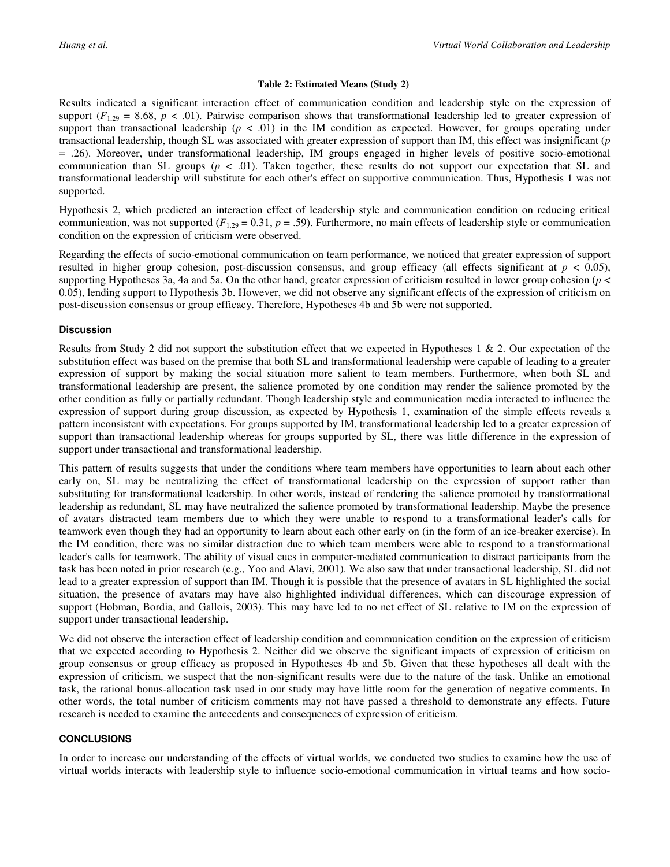#### **Table 2: Estimated Means (Study 2)**

Results indicated a significant interaction effect of communication condition and leadership style on the expression of support  $(F_{1,29} = 8.68, p < .01)$ . Pairwise comparison shows that transformational leadership led to greater expression of support than transactional leadership  $(p < .01)$  in the IM condition as expected. However, for groups operating under transactional leadership, though SL was associated with greater expression of support than IM, this effect was insignificant (*p* = .26). Moreover, under transformational leadership, IM groups engaged in higher levels of positive socio-emotional communication than SL groups ( $p < .01$ ). Taken together, these results do not support our expectation that SL and transformational leadership will substitute for each other's effect on supportive communication. Thus, Hypothesis 1 was not supported.

Hypothesis 2, which predicted an interaction effect of leadership style and communication condition on reducing critical communication, was not supported  $(F_{1,29} = 0.31, p = .59)$ . Furthermore, no main effects of leadership style or communication condition on the expression of criticism were observed.

Regarding the effects of socio-emotional communication on team performance, we noticed that greater expression of support resulted in higher group cohesion, post-discussion consensus, and group efficacy (all effects significant at  $p < 0.05$ ), supporting Hypotheses 3a, 4a and 5a. On the other hand, greater expression of criticism resulted in lower group cohesion (*p* < 0.05), lending support to Hypothesis 3b. However, we did not observe any significant effects of the expression of criticism on post-discussion consensus or group efficacy. Therefore, Hypotheses 4b and 5b were not supported.

#### **Discussion**

Results from Study 2 did not support the substitution effect that we expected in Hypotheses 1 & 2. Our expectation of the substitution effect was based on the premise that both SL and transformational leadership were capable of leading to a greater expression of support by making the social situation more salient to team members. Furthermore, when both SL and transformational leadership are present, the salience promoted by one condition may render the salience promoted by the other condition as fully or partially redundant. Though leadership style and communication media interacted to influence the expression of support during group discussion, as expected by Hypothesis 1, examination of the simple effects reveals a pattern inconsistent with expectations. For groups supported by IM, transformational leadership led to a greater expression of support than transactional leadership whereas for groups supported by SL, there was little difference in the expression of support under transactional and transformational leadership.

This pattern of results suggests that under the conditions where team members have opportunities to learn about each other early on, SL may be neutralizing the effect of transformational leadership on the expression of support rather than substituting for transformational leadership. In other words, instead of rendering the salience promoted by transformational leadership as redundant, SL may have neutralized the salience promoted by transformational leadership. Maybe the presence of avatars distracted team members due to which they were unable to respond to a transformational leader's calls for teamwork even though they had an opportunity to learn about each other early on (in the form of an ice-breaker exercise). In the IM condition, there was no similar distraction due to which team members were able to respond to a transformational leader's calls for teamwork. The ability of visual cues in computer-mediated communication to distract participants from the task has been noted in prior research (e.g., Yoo and Alavi, 2001). We also saw that under transactional leadership, SL did not lead to a greater expression of support than IM. Though it is possible that the presence of avatars in SL highlighted the social situation, the presence of avatars may have also highlighted individual differences, which can discourage expression of support (Hobman, Bordia, and Gallois, 2003). This may have led to no net effect of SL relative to IM on the expression of support under transactional leadership.

We did not observe the interaction effect of leadership condition and communication condition on the expression of criticism that we expected according to Hypothesis 2. Neither did we observe the significant impacts of expression of criticism on group consensus or group efficacy as proposed in Hypotheses 4b and 5b. Given that these hypotheses all dealt with the expression of criticism, we suspect that the non-significant results were due to the nature of the task. Unlike an emotional task, the rational bonus-allocation task used in our study may have little room for the generation of negative comments. In other words, the total number of criticism comments may not have passed a threshold to demonstrate any effects. Future research is needed to examine the antecedents and consequences of expression of criticism.

#### **CONCLUSIONS**

In order to increase our understanding of the effects of virtual worlds, we conducted two studies to examine how the use of virtual worlds interacts with leadership style to influence socio-emotional communication in virtual teams and how socio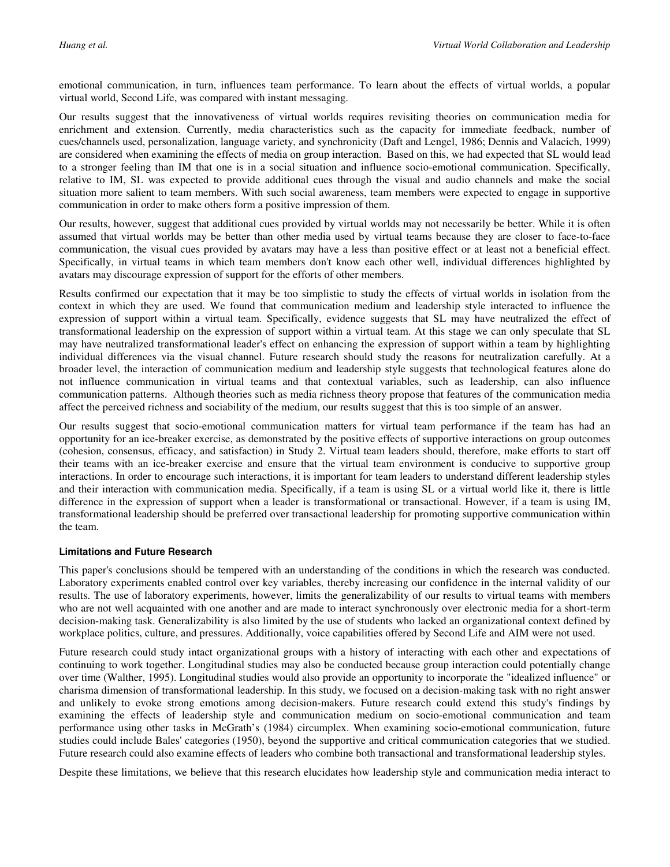emotional communication, in turn, influences team performance. To learn about the effects of virtual worlds, a popular virtual world, Second Life, was compared with instant messaging.

Our results suggest that the innovativeness of virtual worlds requires revisiting theories on communication media for enrichment and extension. Currently, media characteristics such as the capacity for immediate feedback, number of cues/channels used, personalization, language variety, and synchronicity (Daft and Lengel, 1986; Dennis and Valacich, 1999) are considered when examining the effects of media on group interaction. Based on this, we had expected that SL would lead to a stronger feeling than IM that one is in a social situation and influence socio-emotional communication. Specifically, relative to IM, SL was expected to provide additional cues through the visual and audio channels and make the social situation more salient to team members. With such social awareness, team members were expected to engage in supportive communication in order to make others form a positive impression of them.

Our results, however, suggest that additional cues provided by virtual worlds may not necessarily be better. While it is often assumed that virtual worlds may be better than other media used by virtual teams because they are closer to face-to-face communication, the visual cues provided by avatars may have a less than positive effect or at least not a beneficial effect. Specifically, in virtual teams in which team members don't know each other well, individual differences highlighted by avatars may discourage expression of support for the efforts of other members.

Results confirmed our expectation that it may be too simplistic to study the effects of virtual worlds in isolation from the context in which they are used. We found that communication medium and leadership style interacted to influence the expression of support within a virtual team. Specifically, evidence suggests that SL may have neutralized the effect of transformational leadership on the expression of support within a virtual team. At this stage we can only speculate that SL may have neutralized transformational leader's effect on enhancing the expression of support within a team by highlighting individual differences via the visual channel. Future research should study the reasons for neutralization carefully. At a broader level, the interaction of communication medium and leadership style suggests that technological features alone do not influence communication in virtual teams and that contextual variables, such as leadership, can also influence communication patterns. Although theories such as media richness theory propose that features of the communication media affect the perceived richness and sociability of the medium, our results suggest that this is too simple of an answer.

Our results suggest that socio-emotional communication matters for virtual team performance if the team has had an opportunity for an ice-breaker exercise, as demonstrated by the positive effects of supportive interactions on group outcomes (cohesion, consensus, efficacy, and satisfaction) in Study 2. Virtual team leaders should, therefore, make efforts to start off their teams with an ice-breaker exercise and ensure that the virtual team environment is conducive to supportive group interactions. In order to encourage such interactions, it is important for team leaders to understand different leadership styles and their interaction with communication media. Specifically, if a team is using SL or a virtual world like it, there is little difference in the expression of support when a leader is transformational or transactional. However, if a team is using IM, transformational leadership should be preferred over transactional leadership for promoting supportive communication within the team.

#### **Limitations and Future Research**

This paper's conclusions should be tempered with an understanding of the conditions in which the research was conducted. Laboratory experiments enabled control over key variables, thereby increasing our confidence in the internal validity of our results. The use of laboratory experiments, however, limits the generalizability of our results to virtual teams with members who are not well acquainted with one another and are made to interact synchronously over electronic media for a short-term decision-making task. Generalizability is also limited by the use of students who lacked an organizational context defined by workplace politics, culture, and pressures. Additionally, voice capabilities offered by Second Life and AIM were not used.

Future research could study intact organizational groups with a history of interacting with each other and expectations of continuing to work together. Longitudinal studies may also be conducted because group interaction could potentially change over time (Walther, 1995). Longitudinal studies would also provide an opportunity to incorporate the "idealized influence" or charisma dimension of transformational leadership. In this study, we focused on a decision-making task with no right answer and unlikely to evoke strong emotions among decision-makers. Future research could extend this study's findings by examining the effects of leadership style and communication medium on socio-emotional communication and team performance using other tasks in McGrath's (1984) circumplex. When examining socio-emotional communication, future studies could include Bales' categories (1950), beyond the supportive and critical communication categories that we studied. Future research could also examine effects of leaders who combine both transactional and transformational leadership styles.

Despite these limitations, we believe that this research elucidates how leadership style and communication media interact to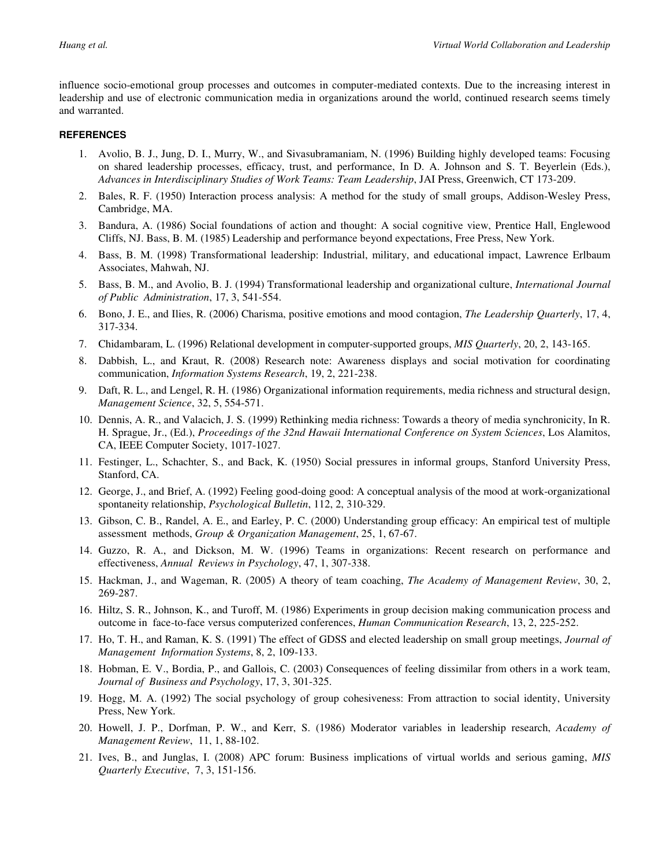influence socio-emotional group processes and outcomes in computer-mediated contexts. Due to the increasing interest in leadership and use of electronic communication media in organizations around the world, continued research seems timely and warranted.

#### **REFERENCES**

- 1. Avolio, B. J., Jung, D. I., Murry, W., and Sivasubramaniam, N. (1996) Building highly developed teams: Focusing on shared leadership processes, efficacy, trust, and performance, In D. A. Johnson and S. T. Beyerlein (Eds.), *Advances in Interdisciplinary Studies of Work Teams: Team Leadership*, JAI Press, Greenwich, CT 173-209.
- 2. Bales, R. F. (1950) Interaction process analysis: A method for the study of small groups, Addison-Wesley Press, Cambridge, MA.
- 3. Bandura, A. (1986) Social foundations of action and thought: A social cognitive view, Prentice Hall, Englewood Cliffs, NJ. Bass, B. M. (1985) Leadership and performance beyond expectations, Free Press, New York.
- 4. Bass, B. M. (1998) Transformational leadership: Industrial, military, and educational impact, Lawrence Erlbaum Associates, Mahwah, NJ.
- 5. Bass, B. M., and Avolio, B. J. (1994) Transformational leadership and organizational culture, *International Journal of Public Administration*, 17, 3, 541-554.
- 6. Bono, J. E., and Ilies, R. (2006) Charisma, positive emotions and mood contagion, *The Leadership Quarterly*, 17, 4, 317-334.
- 7. Chidambaram, L. (1996) Relational development in computer-supported groups, *MIS Quarterly*, 20, 2, 143-165.
- 8. Dabbish, L., and Kraut, R. (2008) Research note: Awareness displays and social motivation for coordinating communication, *Information Systems Research*, 19, 2, 221-238.
- 9. Daft, R. L., and Lengel, R. H. (1986) Organizational information requirements, media richness and structural design, *Management Science*, 32, 5, 554-571.
- 10. Dennis, A. R., and Valacich, J. S. (1999) Rethinking media richness: Towards a theory of media synchronicity, In R. H. Sprague, Jr., (Ed.), *Proceedings of the 32nd Hawaii International Conference on System Sciences*, Los Alamitos, CA, IEEE Computer Society, 1017-1027.
- 11. Festinger, L., Schachter, S., and Back, K. (1950) Social pressures in informal groups, Stanford University Press, Stanford, CA.
- 12. George, J., and Brief, A. (1992) Feeling good-doing good: A conceptual analysis of the mood at work-organizational spontaneity relationship, *Psychological Bulletin*, 112, 2, 310-329.
- 13. Gibson, C. B., Randel, A. E., and Earley, P. C. (2000) Understanding group efficacy: An empirical test of multiple assessment methods, *Group & Organization Management*, 25, 1, 67-67.
- 14. Guzzo, R. A., and Dickson, M. W. (1996) Teams in organizations: Recent research on performance and effectiveness, *Annual Reviews in Psychology*, 47, 1, 307-338.
- 15. Hackman, J., and Wageman, R. (2005) A theory of team coaching, *The Academy of Management Review*, 30, 2, 269-287.
- 16. Hiltz, S. R., Johnson, K., and Turoff, M. (1986) Experiments in group decision making communication process and outcome in face-to-face versus computerized conferences, *Human Communication Research*, 13, 2, 225-252.
- 17. Ho, T. H., and Raman, K. S. (1991) The effect of GDSS and elected leadership on small group meetings, *Journal of Management Information Systems*, 8, 2, 109-133.
- 18. Hobman, E. V., Bordia, P., and Gallois, C. (2003) Consequences of feeling dissimilar from others in a work team, *Journal of Business and Psychology*, 17, 3, 301-325.
- 19. Hogg, M. A. (1992) The social psychology of group cohesiveness: From attraction to social identity, University Press, New York.
- 20. Howell, J. P., Dorfman, P. W., and Kerr, S. (1986) Moderator variables in leadership research, *Academy of Management Review*, 11, 1, 88-102.
- 21. Ives, B., and Junglas, I. (2008) APC forum: Business implications of virtual worlds and serious gaming, *MIS Quarterly Executive*, 7, 3, 151-156.